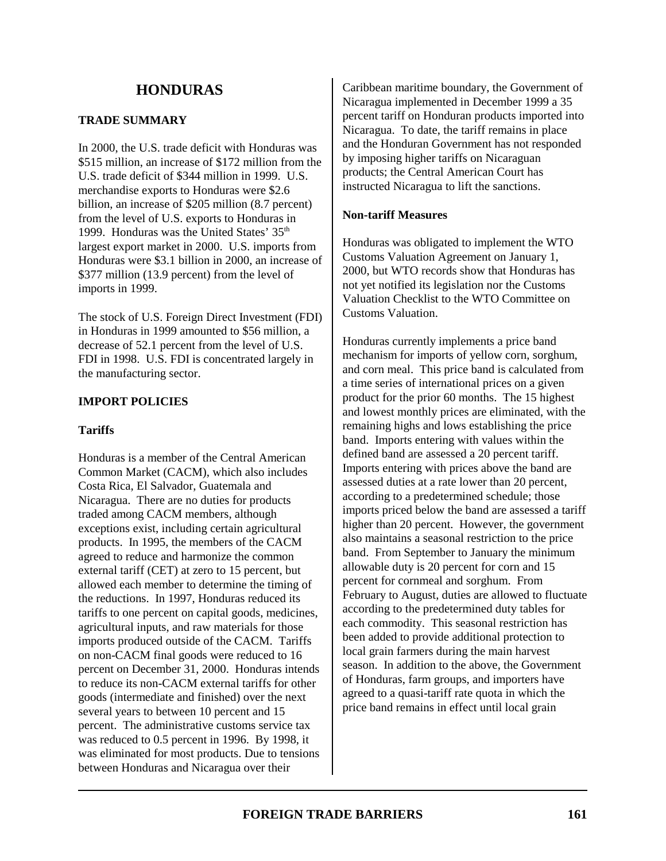# **TRADE SUMMARY**

In 2000, the U.S. trade deficit with Honduras was \$515 million, an increase of \$172 million from the U.S. trade deficit of \$344 million in 1999. U.S. merchandise exports to Honduras were \$2.6 billion, an increase of \$205 million (8.7 percent) from the level of U.S. exports to Honduras in 1999. Honduras was the United States' 35<sup>th</sup> largest export market in 2000. U.S. imports from Honduras were \$3.1 billion in 2000, an increase of \$377 million (13.9 percent) from the level of imports in 1999.

The stock of U.S. Foreign Direct Investment (FDI) in Honduras in 1999 amounted to \$56 million, a decrease of 52.1 percent from the level of U.S. FDI in 1998. U.S. FDI is concentrated largely in the manufacturing sector.

# **IMPORT POLICIES**

# **Tariffs**

Honduras is a member of the Central American Common Market (CACM), which also includes Costa Rica, El Salvador, Guatemala and Nicaragua. There are no duties for products traded among CACM members, although exceptions exist, including certain agricultural products. In 1995, the members of the CACM agreed to reduce and harmonize the common external tariff (CET) at zero to 15 percent, but allowed each member to determine the timing of the reductions. In 1997, Honduras reduced its tariffs to one percent on capital goods, medicines, agricultural inputs, and raw materials for those imports produced outside of the CACM. Tariffs on non-CACM final goods were reduced to 16 percent on December 31, 2000. Honduras intends to reduce its non-CACM external tariffs for other goods (intermediate and finished) over the next several years to between 10 percent and 15 percent. The administrative customs service tax was reduced to 0.5 percent in 1996. By 1998, it was eliminated for most products. Due to tensions between Honduras and Nicaragua over their

Caribbean maritime boundary, the Government of Nicaragua implemented in December 1999 a 35 percent tariff on Honduran products imported into Nicaragua. To date, the tariff remains in place and the Honduran Government has not responded by imposing higher tariffs on Nicaraguan products; the Central American Court has instructed Nicaragua to lift the sanctions.

# **Non-tariff Measures**

Honduras was obligated to implement the WTO Customs Valuation Agreement on January 1, 2000, but WTO records show that Honduras has not yet notified its legislation nor the Customs Valuation Checklist to the WTO Committee on Customs Valuation.

Honduras currently implements a price band mechanism for imports of yellow corn, sorghum, and corn meal. This price band is calculated from a time series of international prices on a given product for the prior 60 months. The 15 highest and lowest monthly prices are eliminated, with the remaining highs and lows establishing the price band. Imports entering with values within the defined band are assessed a 20 percent tariff. Imports entering with prices above the band are assessed duties at a rate lower than 20 percent, according to a predetermined schedule; those imports priced below the band are assessed a tariff higher than 20 percent. However, the government also maintains a seasonal restriction to the price band. From September to January the minimum allowable duty is 20 percent for corn and 15 percent for cornmeal and sorghum. From February to August, duties are allowed to fluctuate according to the predetermined duty tables for each commodity. This seasonal restriction has been added to provide additional protection to local grain farmers during the main harvest season. In addition to the above, the Government of Honduras, farm groups, and importers have agreed to a quasi-tariff rate quota in which the price band remains in effect until local grain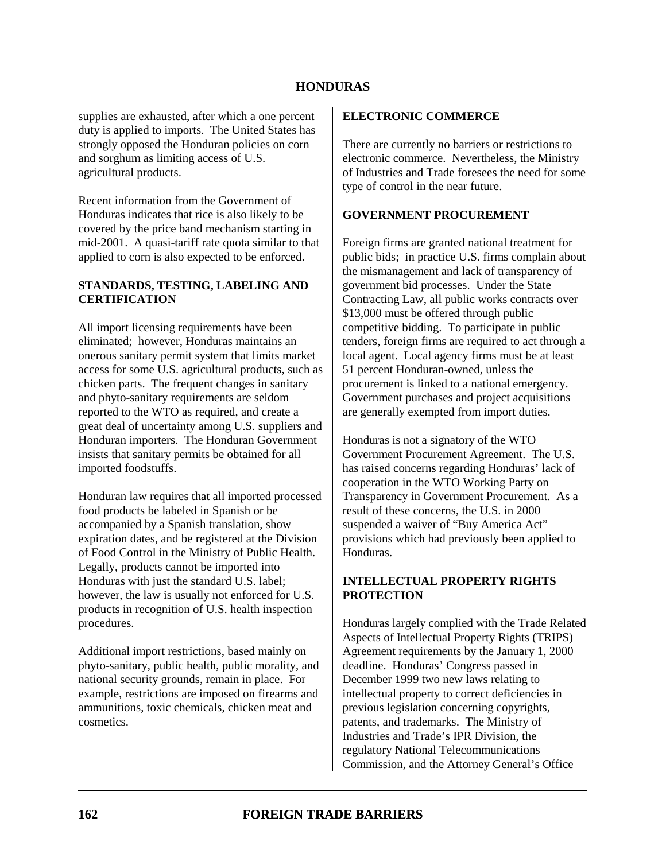supplies are exhausted, after which a one percent duty is applied to imports. The United States has strongly opposed the Honduran policies on corn and sorghum as limiting access of U.S. agricultural products.

Recent information from the Government of Honduras indicates that rice is also likely to be covered by the price band mechanism starting in mid-2001. A quasi-tariff rate quota similar to that applied to corn is also expected to be enforced.

### **STANDARDS, TESTING, LABELING AND CERTIFICATION**

All import licensing requirements have been eliminated; however, Honduras maintains an onerous sanitary permit system that limits market access for some U.S. agricultural products, such as chicken parts. The frequent changes in sanitary and phyto-sanitary requirements are seldom reported to the WTO as required, and create a great deal of uncertainty among U.S. suppliers and Honduran importers. The Honduran Government insists that sanitary permits be obtained for all imported foodstuffs.

Honduran law requires that all imported processed food products be labeled in Spanish or be accompanied by a Spanish translation, show expiration dates, and be registered at the Division of Food Control in the Ministry of Public Health. Legally, products cannot be imported into Honduras with just the standard U.S. label; however, the law is usually not enforced for U.S. products in recognition of U.S. health inspection procedures.

Additional import restrictions, based mainly on phyto-sanitary, public health, public morality, and national security grounds, remain in place. For example, restrictions are imposed on firearms and ammunitions, toxic chemicals, chicken meat and cosmetics.

### **ELECTRONIC COMMERCE**

There are currently no barriers or restrictions to electronic commerce. Nevertheless, the Ministry of Industries and Trade foresees the need for some type of control in the near future.

# **GOVERNMENT PROCUREMENT**

Foreign firms are granted national treatment for public bids; in practice U.S. firms complain about the mismanagement and lack of transparency of government bid processes. Under the State Contracting Law, all public works contracts over \$13,000 must be offered through public competitive bidding. To participate in public tenders, foreign firms are required to act through a local agent. Local agency firms must be at least 51 percent Honduran-owned, unless the procurement is linked to a national emergency. Government purchases and project acquisitions are generally exempted from import duties.

Honduras is not a signatory of the WTO Government Procurement Agreement. The U.S. has raised concerns regarding Honduras' lack of cooperation in the WTO Working Party on Transparency in Government Procurement. As a result of these concerns, the U.S. in 2000 suspended a waiver of "Buy America Act" provisions which had previously been applied to Honduras.

### **INTELLECTUAL PROPERTY RIGHTS PROTECTION**

Honduras largely complied with the Trade Related Aspects of Intellectual Property Rights (TRIPS) Agreement requirements by the January 1, 2000 deadline. Honduras' Congress passed in December 1999 two new laws relating to intellectual property to correct deficiencies in previous legislation concerning copyrights, patents, and trademarks. The Ministry of Industries and Trade's IPR Division, the regulatory National Telecommunications Commission, and the Attorney General's Office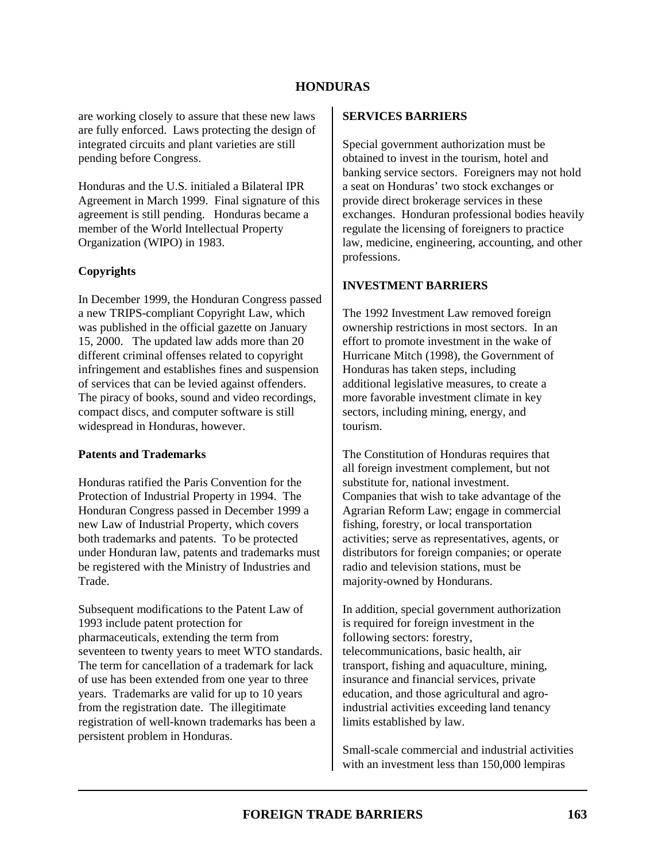are working closely to assure that these new laws are fully enforced. Laws protecting the design of integrated circuits and plant varieties are still pending before Congress.

Honduras and the U.S. initialed a Bilateral IPR Agreement in March 1999. Final signature of this agreement is still pending. Honduras became a member of the World Intellectual Property Organization (WIPO) in 1983.

### **Copyrights**

In December 1999, the Honduran Congress passed a new TRIPS-compliant Copyright Law, which was published in the official gazette on January 15, 2000. The updated law adds more than 20 different criminal offenses related to copyright infringement and establishes fines and suspension of services that can be levied against offenders. The piracy of books, sound and video recordings, compact discs, and computer software is still widespread in Honduras, however.

#### **Patents and Trademarks**

Honduras ratified the Paris Convention for the Protection of Industrial Property in 1994. The Honduran Congress passed in December 1999 a new Law of Industrial Property, which covers both trademarks and patents. To be protected under Honduran law, patents and trademarks must be registered with the Ministry of Industries and Trade.

Subsequent modifications to the Patent Law of 1993 include patent protection for pharmaceuticals, extending the term from seventeen to twenty years to meet WTO standards. The term for cancellation of a trademark for lack of use has been extended from one year to three years. Trademarks are valid for up to 10 years from the registration date. The illegitimate registration of well-known trademarks has been a persistent problem in Honduras.

#### **SERVICES BARRIERS**

Special government authorization must be obtained to invest in the tourism, hotel and banking service sectors. Foreigners may not hold a seat on Honduras' two stock exchanges or provide direct brokerage services in these exchanges. Honduran professional bodies heavily regulate the licensing of foreigners to practice law, medicine, engineering, accounting, and other professions.

#### **INVESTMENT BARRIERS**

The 1992 Investment Law removed foreign ownership restrictions in most sectors. In an effort to promote investment in the wake of Hurricane Mitch (1998), the Government of Honduras has taken steps, including additional legislative measures, to create a more favorable investment climate in key sectors, including mining, energy, and tourism.

The Constitution of Honduras requires that all foreign investment complement, but not substitute for, national investment. Companies that wish to take advantage of the Agrarian Reform Law; engage in commercial fishing, forestry, or local transportation activities; serve as representatives, agents, or distributors for foreign companies; or operate radio and television stations, must be majority-owned by Hondurans.

In addition, special government authorization is required for foreign investment in the following sectors: forestry, telecommunications, basic health, air transport, fishing and aquaculture, mining, insurance and financial services, private education, and those agricultural and agroindustrial activities exceeding land tenancy limits established by law.

Small-scale commercial and industrial activities with an investment less than 150,000 lempiras